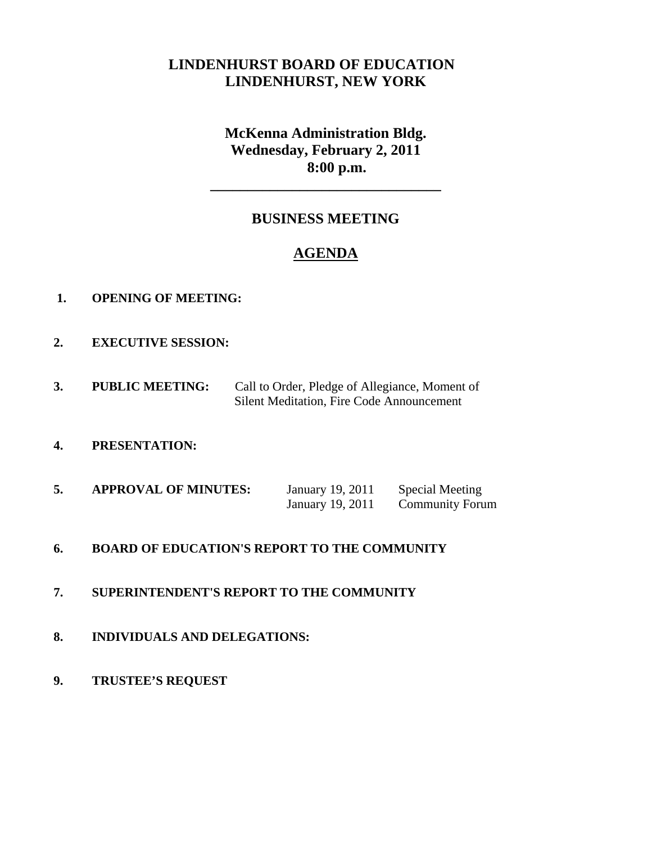# **LINDENHURST BOARD OF EDUCATION LINDENHURST, NEW YORK**

**McKenna Administration Bldg. Wednesday, February 2, 2011 8:00 p.m.** 

**\_\_\_\_\_\_\_\_\_\_\_\_\_\_\_\_\_\_\_\_\_\_\_\_\_\_\_\_\_\_\_** 

# **BUSINESS MEETING**

# **AGENDA**

- **1. OPENING OF MEETING:**
- **2. EXECUTIVE SESSION:**
- **3. PUBLIC MEETING:** Call to Order, Pledge of Allegiance, Moment of Silent Meditation, Fire Code Announcement
- **4. PRESENTATION:**
- **5.** APPROVAL OF MINUTES: January 19, 2011 Special Meeting January 19, 2011 Community Forum

#### **6. BOARD OF EDUCATION'S REPORT TO THE COMMUNITY**

- **7. SUPERINTENDENT'S REPORT TO THE COMMUNITY**
- **8. INDIVIDUALS AND DELEGATIONS:**
- **9. TRUSTEE'S REQUEST**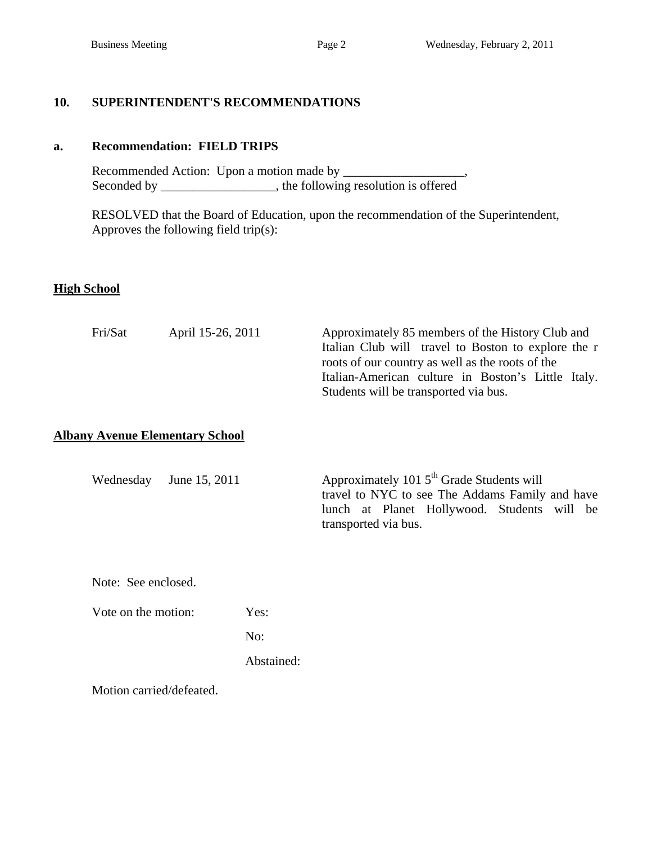### **10. SUPERINTENDENT'S RECOMMENDATIONS**

#### **a. Recommendation: FIELD TRIPS**

Recommended Action: Upon a motion made by \_\_\_\_\_\_\_\_\_\_\_\_\_\_ Seconded by \_\_\_\_\_\_\_\_\_\_\_\_\_\_\_\_, the following resolution is offered

 RESOLVED that the Board of Education, upon the recommendation of the Superintendent, Approves the following field trip(s):

#### **High School**

| Fri/Sat | April 15-26, 2011                      | Approximately 85 members of the History Club and<br>Italian Club will travel to Boston to explore the r<br>roots of our country as well as the roots of the |
|---------|----------------------------------------|-------------------------------------------------------------------------------------------------------------------------------------------------------------|
|         |                                        | Italian-American culture in Boston's Little Italy.<br>Students will be transported via bus.                                                                 |
|         | <b>Albany Avenue Elementary School</b> |                                                                                                                                                             |

Wednesday June 15, 2011 Approximately 101 5<sup>th</sup> Grade Students will travel to NYC to see The Addams Family and have lunch at Planet Hollywood. Students will be transported via bus.

Note: See enclosed.

Vote on the motion: Yes:

No:

Abstained:

Motion carried/defeated.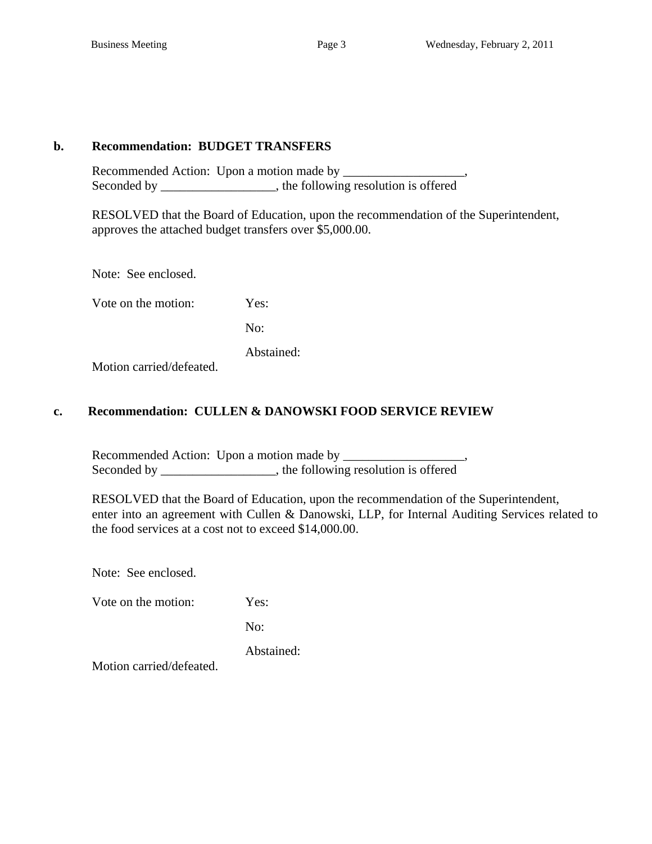#### **b. Recommendation: BUDGET TRANSFERS**

 Recommended Action: Upon a motion made by \_\_\_\_\_\_\_\_\_\_\_\_\_\_\_\_\_\_\_, Seconded by \_\_\_\_\_\_\_\_\_\_\_\_\_\_\_\_\_, the following resolution is offered

 RESOLVED that the Board of Education, upon the recommendation of the Superintendent, approves the attached budget transfers over \$5,000.00.

Note: See enclosed.

Vote on the motion: Yes:

No:

Abstained:

Motion carried/defeated.

#### **c. Recommendation: CULLEN & DANOWSKI FOOD SERVICE REVIEW**

 Recommended Action: Upon a motion made by \_\_\_\_\_\_\_\_\_\_\_\_\_\_\_\_\_\_\_, Seconded by \_\_\_\_\_\_\_\_\_\_\_\_\_\_, the following resolution is offered

 RESOLVED that the Board of Education, upon the recommendation of the Superintendent, enter into an agreement with Cullen & Danowski, LLP, for Internal Auditing Services related to the food services at a cost not to exceed \$14,000.00.

Note: See enclosed.

Vote on the motion: Yes:

No:

Abstained:

Motion carried/defeated.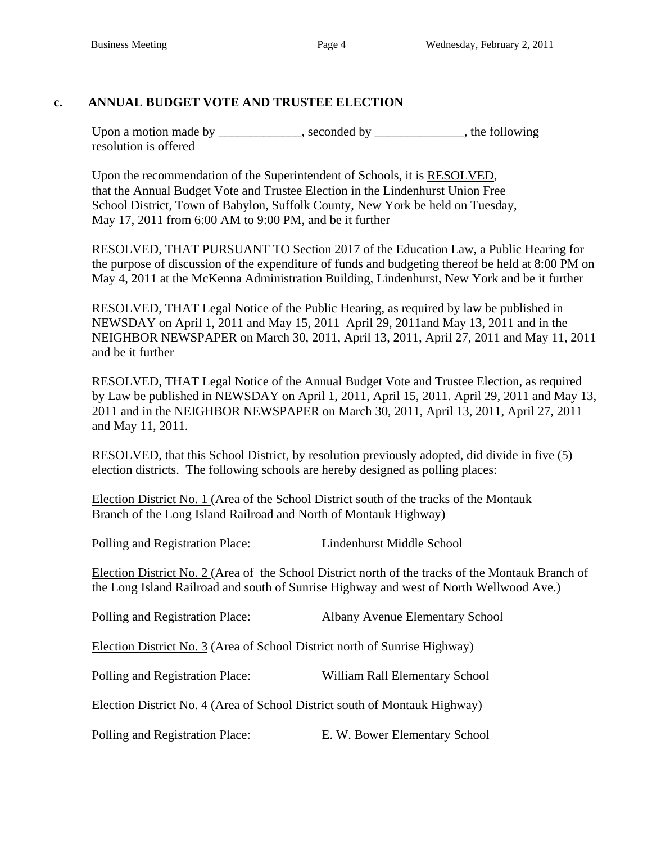# **c. ANNUAL BUDGET VOTE AND TRUSTEE ELECTION**

Upon a motion made by \_\_\_\_\_\_\_\_\_\_, seconded by \_\_\_\_\_\_\_\_\_\_, the following resolution is offered

Upon the recommendation of the Superintendent of Schools, it is RESOLVED, that the Annual Budget Vote and Trustee Election in the Lindenhurst Union Free School District, Town of Babylon, Suffolk County, New York be held on Tuesday, May 17, 2011 from 6:00 AM to 9:00 PM, and be it further

RESOLVED, THAT PURSUANT TO Section 2017 of the Education Law, a Public Hearing for the purpose of discussion of the expenditure of funds and budgeting thereof be held at 8:00 PM on May 4, 2011 at the McKenna Administration Building, Lindenhurst, New York and be it further

RESOLVED, THAT Legal Notice of the Public Hearing, as required by law be published in NEWSDAY on April 1, 2011 and May 15, 2011 April 29, 2011and May 13, 2011 and in the NEIGHBOR NEWSPAPER on March 30, 2011, April 13, 2011, April 27, 2011 and May 11, 2011 and be it further

RESOLVED, THAT Legal Notice of the Annual Budget Vote and Trustee Election, as required by Law be published in NEWSDAY on April 1, 2011, April 15, 2011. April 29, 2011 and May 13, 2011 and in the NEIGHBOR NEWSPAPER on March 30, 2011, April 13, 2011, April 27, 2011 and May 11, 2011.

RESOLVED, that this School District, by resolution previously adopted, did divide in five (5) election districts. The following schools are hereby designed as polling places:

Election District No. 1 (Area of the School District south of the tracks of the Montauk Branch of the Long Island Railroad and North of Montauk Highway)

Polling and Registration Place: Lindenhurst Middle School

Election District No. 2 (Area of the School District north of the tracks of the Montauk Branch of the Long Island Railroad and south of Sunrise Highway and west of North Wellwood Ave.)

| Polling and Registration Place:                                            | <b>Albany Avenue Elementary School</b> |
|----------------------------------------------------------------------------|----------------------------------------|
| Election District No. 3 (Area of School District north of Sunrise Highway) |                                        |
| Polling and Registration Place:                                            | William Rall Elementary School         |
| Election District No. 4 (Area of School District south of Montauk Highway) |                                        |
| Polling and Registration Place:                                            | E. W. Bower Elementary School          |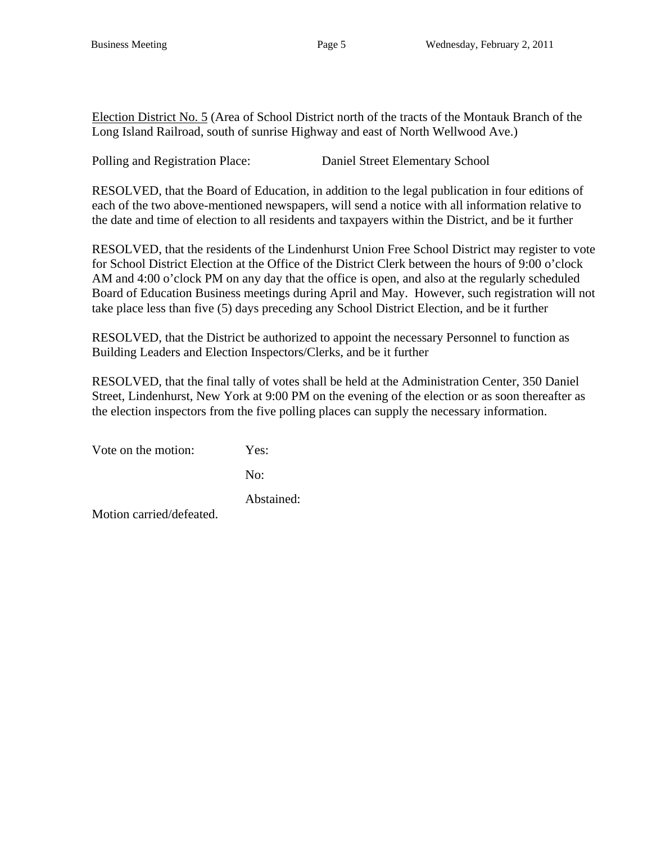Election District No. 5 (Area of School District north of the tracts of the Montauk Branch of the Long Island Railroad, south of sunrise Highway and east of North Wellwood Ave.)

Polling and Registration Place: Daniel Street Elementary School

RESOLVED, that the Board of Education, in addition to the legal publication in four editions of each of the two above-mentioned newspapers, will send a notice with all information relative to the date and time of election to all residents and taxpayers within the District, and be it further

RESOLVED, that the residents of the Lindenhurst Union Free School District may register to vote for School District Election at the Office of the District Clerk between the hours of 9:00 o'clock AM and 4:00 o'clock PM on any day that the office is open, and also at the regularly scheduled Board of Education Business meetings during April and May. However, such registration will not take place less than five (5) days preceding any School District Election, and be it further

RESOLVED, that the District be authorized to appoint the necessary Personnel to function as Building Leaders and Election Inspectors/Clerks, and be it further

RESOLVED, that the final tally of votes shall be held at the Administration Center, 350 Daniel Street, Lindenhurst, New York at 9:00 PM on the evening of the election or as soon thereafter as the election inspectors from the five polling places can supply the necessary information.

Vote on the motion: Yes:

No:

Abstained:

Motion carried/defeated.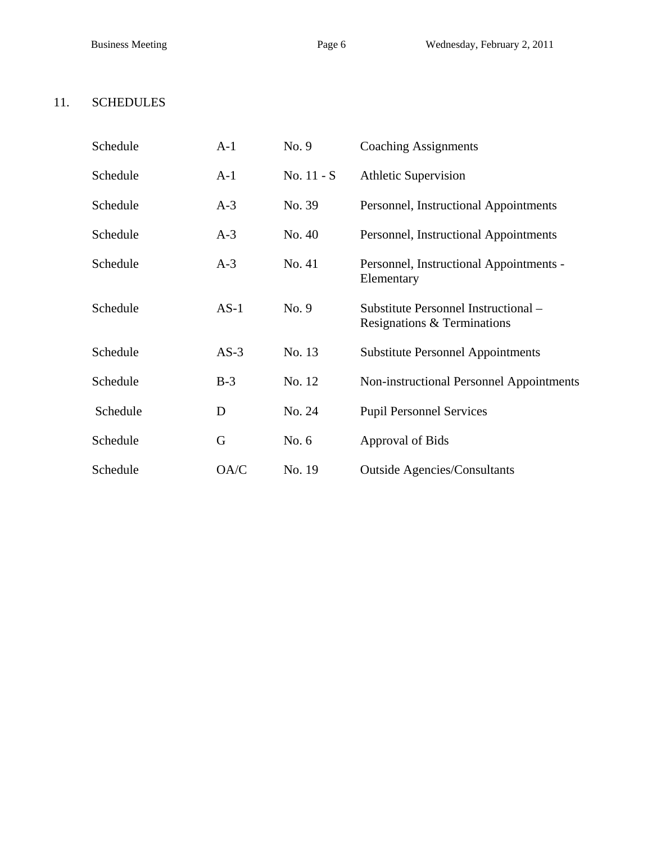# 11. SCHEDULES

| Schedule | $A-1$  | No. 9      | <b>Coaching Assignments</b>                                         |
|----------|--------|------------|---------------------------------------------------------------------|
| Schedule | $A-1$  | No. 11 - S | <b>Athletic Supervision</b>                                         |
| Schedule | $A-3$  | No. 39     | Personnel, Instructional Appointments                               |
| Schedule | $A-3$  | No. 40     | Personnel, Instructional Appointments                               |
| Schedule | $A-3$  | No. 41     | Personnel, Instructional Appointments -<br>Elementary               |
| Schedule | $AS-1$ | No. 9      | Substitute Personnel Instructional -<br>Resignations & Terminations |
| Schedule | $AS-3$ | No. 13     | <b>Substitute Personnel Appointments</b>                            |
| Schedule | $B-3$  | No. 12     | Non-instructional Personnel Appointments                            |
| Schedule | D      | No. 24     | <b>Pupil Personnel Services</b>                                     |
| Schedule | G      | No. $6$    | Approval of Bids                                                    |
| Schedule | OA/C   | No. 19     | <b>Outside Agencies/Consultants</b>                                 |